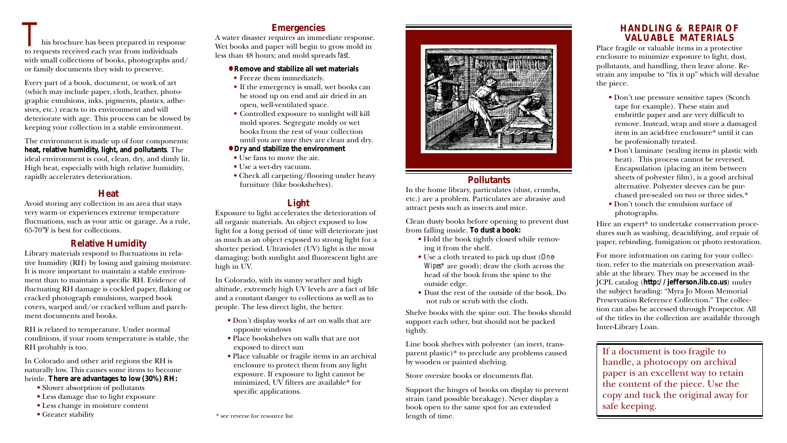## **Emergencies**

A water disaster requires an immediate response. Wet books and paper will begin to grow mold in less than 48 hours; and mold spreads *fast*.

#### **• Remove and stabilize all wet materials**

- Freeze them immediately.
- If the emergency is small, wet books can be stood up on end and air dried in an open, well-ventilated space.
- Controlled exposure to sunlight will kill mold spores. Segregate moldy or wet books from the rest of your collection until you are sure they are clean and dry.

#### **• Dry and stabilize the environment**

- Use fans to move the air.
- Use a wet-dry vacuum.
- Check all carpeting/flooring under heavy furniture (like bookshelves).

## **Light**

Exposure to light accelerates the deterioration of all organic materials. An object exposed to low light for a long period of time will deteriorate just as much as an object exposed to strong light for a shorter period. Ultraviolet (UV) light is the most damaging; both sunlight and fluorescent light are high in UV.

In Colorado, with its sunny weather and high altitude, extremely high UV levels are a fact of life and a constant danger to collections as well as to people. The less direct light, the better.

- Don't display works of art on walls that are opposite windows
- Place bookshelves on walls that are not exposed to direct sun
- Place valuable or fragile items in an archival enclosure to protect them from any light exposure. If exposure to light cannot be minimized, UV filters are available\* for specific applications.

his brochure has been prepared in response to requests received each year from individuals with small collections of books, photographs and/ or family documents they wish to preserve. This brochure has been prepared in response<br>
to requests received each year from individuals<br>
to requests received each year from individuals<br>
Less than 48 hours and mold speeds for

Every part of a book, document, or work of art (which may include paper, cloth, leather, photographic emulsions, inks, pigments, plastics, adhesives, etc.) reacts to its environment and will deteriorate with age. This process can be slowed by keeping your collection in a stable environment.

> Hire an expert\* to undertake conservation procedures such as washing, deacidifying, and repair of paper, rebinding, fumigation or photo restoration.

The environment is made up of four components: **heat, relative humidity, light, and pollutants**. The ideal environment is cool, clean, dry, and dimly lit. High heat, especially with high relative humidity, rapidly accelerates deterioration.

## **Heat**

Avoid storing any collection in an area that stays very warm or experiences extreme temperature fluctuations, such as your attic or garage. As a rule, 65-70°F is best for collections.

## **Relative Humidity**

Library materials respond to fluctuations in relative humidity (RH) by losing and gaining moisture. It is more important to maintain a stable environment than to maintain a specific RH. Evidence of fluctuating RH damage is cockled paper, flaking or cracked photograph emulsions, warped book covers, warped and/or cracked vellum and parchment documents and books.

RH is related to temperature. Under normal conditions, if your room temperature is stable, the RH probably is too.

In Colorado and other arid regions the RH is naturally low. This causes some items to become brittle. **There are advantages to low (30%) RH:**

- Slower absorption of pollutants
- Less damage due to light exposure
- Less change in moisture content
- Greater stability

## **VALUABLE MATERIALS**

Place fragile or valuable items in a protective enclosure to minimize exposure to light, dust, pollutants, and handling, then leave alone. Restrain any impulse to "fix it up" which will devalue

the piece.

• Don't use pressure sensitive tapes (Scotch tape for example). These stain and embrittle paper and are very difficult to remove. Instead, wrap and store a damaged item in an acid-free enclosure\* until it can be professionally treated.

• Don't laminate (sealing items in plastic with heat). This process cannot be reversed. Encapsulation (placing an item between sheets of polyester film), is a good archival alternative. Polyester sleeves can be purchased pre-sealed on two or three sides.\* • Don't touch the emulsion surface of photographs.

For more information on caring for your collection, refer to the materials on preservation available at the library. They may be accessed in the JCPL catalog (**http://jefferson.lib.co.us**) under the subject heading: "Myra Jo Moon Memorial Preservation Reference Collection." The collection can also be accessed through Prospector. All of the titles in the collection are available through Inter-Library Loan.

If a document is too fragile to handle, a photocopy on archival paper is an excellent way to retain the content of the piece. Use the copy and tuck the original away for safe keeping.



## **Pollutants**

In the home library, particulates (dust, crumbs, etc.) are a problem. Particulates are abrasive and attract pests such as insects and mice.

Clean dusty books before opening to prevent dust from falling inside. **To dust a book:**

- Hold the book tightly closed while removing it from the shelf.
- Use a cloth treated to pick up dust (*One-Wipes\** are good); draw the cloth across the head of the book from the spine to the outside edge.
- Dust the rest of the outside of the book. Do not rub or scrub with the cloth.

Shelve books with the spine out. The books should support each other, but should not be packed tightly.

Line book shelves with polyester (an inert, transparent plastic)\* to preclude any problems caused by wooden or painted shelving.

Store oversize books or documents flat.

Support the hinges of books on display to prevent strain (and possible breakage). Never display a book open to the same spot for an extended length of time.